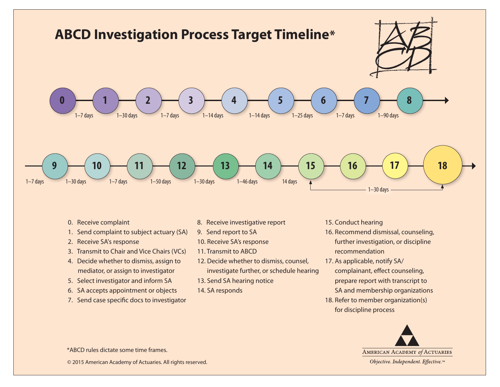

- 0. Receive complaint
- 1. Send complaint to subject actuary (SA)
- 2. Receive SA's response
- 3. Transmit to Chair and Vice Chairs (VCs)
- 4. Decide whether to dismiss, assign to mediator, or assign to investigator
- 5. Select investigator and inform SA
- 6. SA accepts appointment or objects
- 7. Send case specific docs to investigator
- 8. Receive investigative report
- 9. Send report to SA
- 10. Receive SA's response
- 11. Transmit to ABCD
- 12. Decide whether to dismiss, counsel, investigate further, or schedule hearing
- 13. Send SA hearing notice
- 14. SA responds
- 15. Conduct hearing
- 16. Recommend dismissal, counseling, further investigation, or discipline recommendation
- 17. As applicable, notify SA/ complainant, effect counseling, prepare report with transcript to SA and membership organizations
- 18. Refer to member organization(s) for discipline process



\*ABCD rules dictate some time frames.

© 2015 American Academy of Actuaries. All rights reserved.